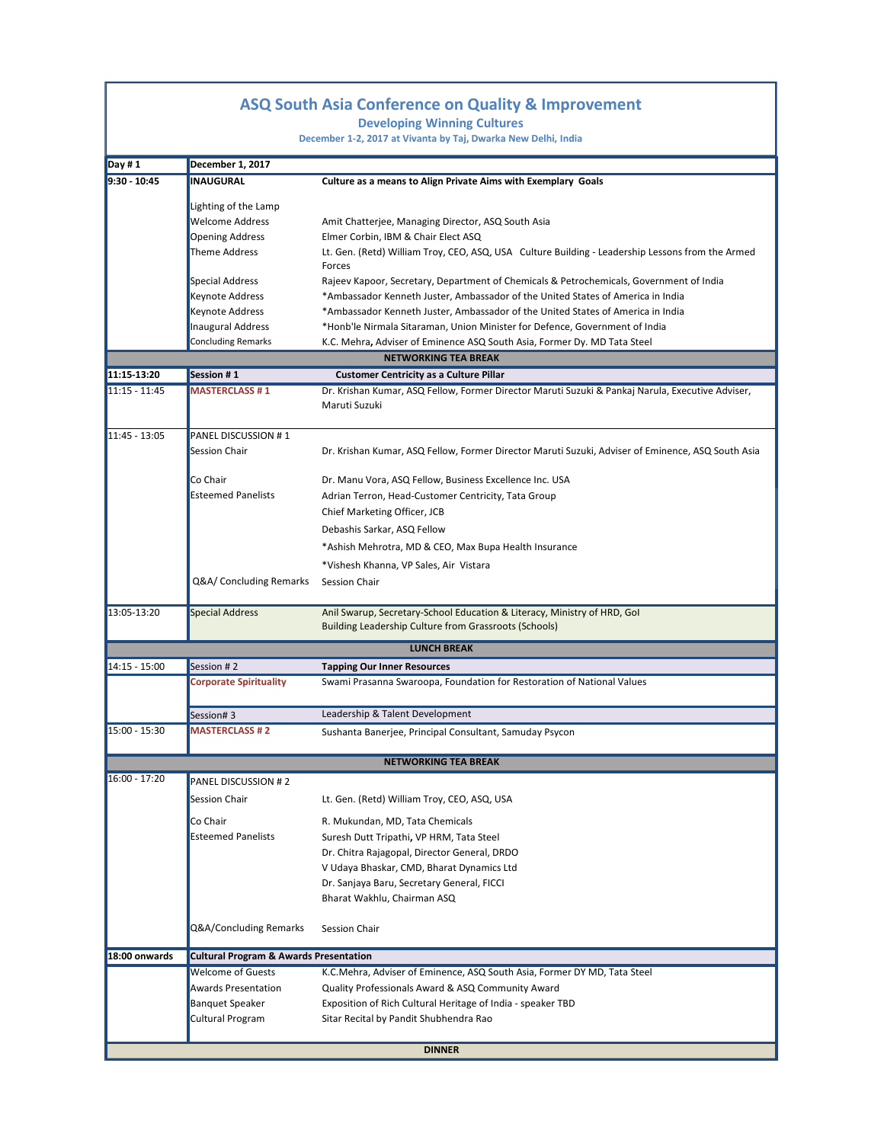## **Venue: Vivanta by Taj, Dwarka, New Delhi ASQ South Asia Conference on Quality & Improvement**

**Developing Winning Cultures**

**December 1‐2, 2017 at Vivanta by Taj, Dwarka New Delhi, India**

| Day #1          | December 1, 2017                                  |                                                                                                                                         |
|-----------------|---------------------------------------------------|-----------------------------------------------------------------------------------------------------------------------------------------|
| 9:30 - 10:45    | <b>INAUGURAL</b>                                  | Culture as a means to Align Private Aims with Exemplary Goals                                                                           |
|                 |                                                   |                                                                                                                                         |
|                 | Lighting of the Lamp                              |                                                                                                                                         |
|                 | <b>Welcome Address</b>                            | Amit Chatterjee, Managing Director, ASQ South Asia                                                                                      |
|                 | <b>Opening Address</b><br>Theme Address           | Elmer Corbin, IBM & Chair Elect ASQ<br>Lt. Gen. (Retd) William Troy, CEO, ASQ, USA Culture Building - Leadership Lessons from the Armed |
|                 |                                                   | Forces                                                                                                                                  |
|                 | <b>Special Address</b>                            | Rajeev Kapoor, Secretary, Department of Chemicals & Petrochemicals, Government of India                                                 |
|                 | Keynote Address                                   | *Ambassador Kenneth Juster, Ambassador of the United States of America in India                                                         |
|                 | Keynote Address                                   | *Ambassador Kenneth Juster, Ambassador of the United States of America in India                                                         |
|                 | <b>Inaugural Address</b>                          | *Honb'le Nirmala Sitaraman, Union Minister for Defence, Government of India                                                             |
|                 | <b>Concluding Remarks</b>                         | K.C. Mehra, Adviser of Eminence ASQ South Asia, Former Dy. MD Tata Steel                                                                |
|                 |                                                   | <b>NETWORKING TEA BREAK</b>                                                                                                             |
| 11:15-13:20     | Session #1                                        | <b>Customer Centricity as a Culture Pillar</b>                                                                                          |
| $11:15 - 11:45$ | <b>MASTERCLASS #1</b>                             | Dr. Krishan Kumar, ASQ Fellow, Former Director Maruti Suzuki & Pankaj Narula, Executive Adviser,                                        |
|                 |                                                   | Maruti Suzuki                                                                                                                           |
|                 |                                                   |                                                                                                                                         |
| 11:45 - 13:05   | PANEL DISCUSSION #1                               |                                                                                                                                         |
|                 | Session Chair                                     | Dr. Krishan Kumar, ASQ Fellow, Former Director Maruti Suzuki, Adviser of Eminence, ASQ South Asia                                       |
|                 | Co Chair                                          | Dr. Manu Vora, ASQ Fellow, Business Excellence Inc. USA                                                                                 |
|                 | <b>Esteemed Panelists</b>                         |                                                                                                                                         |
|                 |                                                   | Adrian Terron, Head-Customer Centricity, Tata Group<br>Chief Marketing Officer, JCB                                                     |
|                 |                                                   |                                                                                                                                         |
|                 |                                                   | Debashis Sarkar, ASQ Fellow                                                                                                             |
|                 |                                                   | *Ashish Mehrotra, MD & CEO, Max Bupa Health Insurance                                                                                   |
|                 |                                                   | *Vishesh Khanna, VP Sales, Air Vistara                                                                                                  |
|                 | Q&A/ Concluding Remarks                           | Session Chair                                                                                                                           |
| 13:05-13:20     | <b>Special Address</b>                            | Anil Swarup, Secretary-School Education & Literacy, Ministry of HRD, Gol                                                                |
|                 |                                                   | <b>Building Leadership Culture from Grassroots (Schools)</b>                                                                            |
|                 |                                                   | <b>LUNCH BREAK</b>                                                                                                                      |
| 14:15 - 15:00   | Session #2                                        | <b>Tapping Our Inner Resources</b>                                                                                                      |
|                 | <b>Corporate Spirituality</b>                     | Swami Prasanna Swaroopa, Foundation for Restoration of National Values                                                                  |
|                 |                                                   |                                                                                                                                         |
|                 | Session#3                                         | Leadership & Talent Development                                                                                                         |
| 15:00 - 15:30   | <b>MASTERCLASS #2</b>                             | Sushanta Banerjee, Principal Consultant, Samuday Psycon                                                                                 |
|                 |                                                   | <b>NETWORKING TEA BREAK</b>                                                                                                             |
| 16:00 - 17:20   | PANEL DISCUSSION #2                               |                                                                                                                                         |
|                 | Session Chair                                     | Lt. Gen. (Retd) William Troy, CEO, ASQ, USA                                                                                             |
|                 |                                                   |                                                                                                                                         |
|                 | Co Chair                                          | R. Mukundan, MD, Tata Chemicals                                                                                                         |
|                 | <b>Esteemed Panelists</b>                         | Suresh Dutt Tripathi, VP HRM, Tata Steel                                                                                                |
|                 |                                                   | Dr. Chitra Rajagopal, Director General, DRDO                                                                                            |
|                 |                                                   | V Udaya Bhaskar, CMD, Bharat Dynamics Ltd                                                                                               |
|                 |                                                   | Dr. Sanjaya Baru, Secretary General, FICCI                                                                                              |
|                 |                                                   | Bharat Wakhlu, Chairman ASQ                                                                                                             |
|                 | Q&A/Concluding Remarks                            | Session Chair                                                                                                                           |
|                 |                                                   |                                                                                                                                         |
| 18:00 onwards   | <b>Cultural Program &amp; Awards Presentation</b> |                                                                                                                                         |
|                 | <b>Welcome of Guests</b>                          | K.C.Mehra, Adviser of Eminence, ASQ South Asia, Former DY MD, Tata Steel                                                                |
|                 | <b>Awards Presentation</b>                        | Quality Professionals Award & ASQ Community Award                                                                                       |
|                 | <b>Banquet Speaker</b>                            | Exposition of Rich Cultural Heritage of India - speaker TBD                                                                             |
|                 | Cultural Program                                  | Sitar Recital by Pandit Shubhendra Rao                                                                                                  |
|                 |                                                   | <b>DINNER</b>                                                                                                                           |